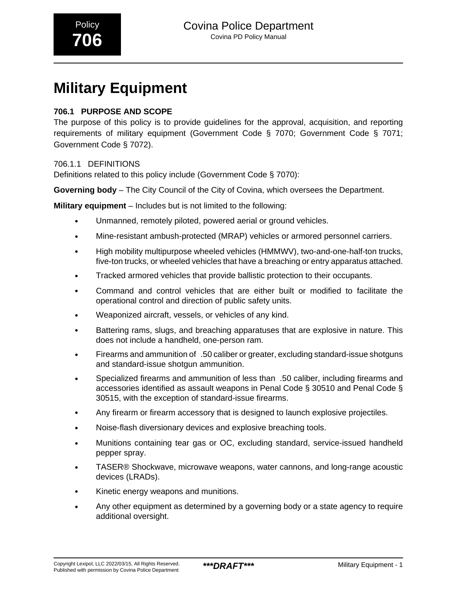# **Military Equipment**

# **706.1 PURPOSE AND SCOPE**

The purpose of this policy is to provide guidelines for the approval, acquisition, and reporting requirements of military equipment (Government Code § 7070; Government Code § 7071; Government Code § 7072).

# 706.1.1 DEFINITIONS

Definitions related to this policy include (Government Code § 7070):

**Governing body** – The City Council of the City of Covina, which oversees the Department.

**Military equipment** – Includes but is not limited to the following:

- Unmanned, remotely piloted, powered aerial or ground vehicles.
- Mine-resistant ambush-protected (MRAP) vehicles or armored personnel carriers.
- High mobility multipurpose wheeled vehicles (HMMWV), two-and-one-half-ton trucks, five-ton trucks, or wheeled vehicles that have a breaching or entry apparatus attached.
- Tracked armored vehicles that provide ballistic protection to their occupants.
- Command and control vehicles that are either built or modified to facilitate the operational control and direction of public safety units.
- Weaponized aircraft, vessels, or vehicles of any kind.
- Battering rams, slugs, and breaching apparatuses that are explosive in nature. This does not include a handheld, one-person ram.
- Firearms and ammunition of\_.50 caliber or greater, excluding standard-issue shotguns and standard-issue shotgun ammunition.
- Specialized firearms and ammunition of less than\_.50 caliber, including firearms and accessories identified as assault weapons in Penal Code § 30510 and Penal Code § 30515, with the exception of standard-issue firearms.
- Any firearm or firearm accessory that is designed to launch explosive projectiles.
- Noise-flash diversionary devices and explosive breaching tools.
- Munitions containing tear gas or OC, excluding standard, service-issued handheld pepper spray.
- TASER® Shockwave, microwave weapons, water cannons, and long-range acoustic devices (LRADs).
- Kinetic energy weapons and munitions.
- Any other equipment as determined by a governing body or a state agency to require additional oversight.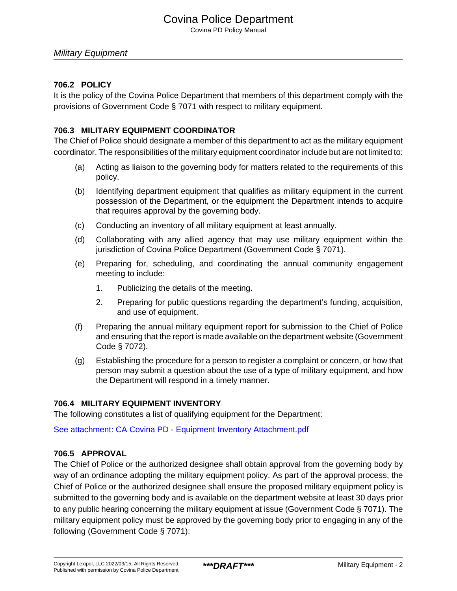# Covina Police Department

Covina PD Policy Manual

### **706.2 POLICY**

It is the policy of the Covina Police Department that members of this department comply with the provisions of Government Code § 7071 with respect to military equipment.

### **706.3 MILITARY EQUIPMENT COORDINATOR**

The Chief of Police should designate a member of this department to act as the military equipment coordinator. The responsibilities of the military equipment coordinator include but are not limited to:

- (a) Acting as liaison to the governing body for matters related to the requirements of this policy.
- (b) Identifying department equipment that qualifies as military equipment in the current possession of the Department, or the equipment the Department intends to acquire that requires approval by the governing body.
- (c) Conducting an inventory of all military equipment at least annually.
- (d) Collaborating with any allied agency that may use military equipment within the jurisdiction of Covina Police Department (Government Code § 7071).
- (e) Preparing for, scheduling, and coordinating the annual community engagement meeting to include:
	- 1. Publicizing the details of the meeting.
	- 2. Preparing for public questions regarding the department's funding, acquisition, and use of equipment.
- (f) Preparing the annual military equipment report for submission to the Chief of Police and ensuring that the report is made available on the department website (Government Code § 7072).
- (g) Establishing the procedure for a person to register a complaint or concern, or how that person may submit a question about the use of a type of military equipment, and how the Department will respond in a timely manner.

### **706.4 MILITARY EQUIPMENT INVENTORY**

The following constitutes a list of qualifying equipment for the Department:

[See attachment: CA Covina PD - Equipment Inventory Attachment.pdf](#page-5-0)

### **706.5 APPROVAL**

The Chief of Police or the authorized designee shall obtain approval from the governing body by way of an ordinance adopting the military equipment policy. As part of the approval process, the Chief of Police or the authorized designee shall ensure the proposed military equipment policy is submitted to the governing body and is available on the department website at least 30 days prior to any public hearing concerning the military equipment at issue (Government Code § 7071). The military equipment policy must be approved by the governing body prior to engaging in any of the following (Government Code § 7071):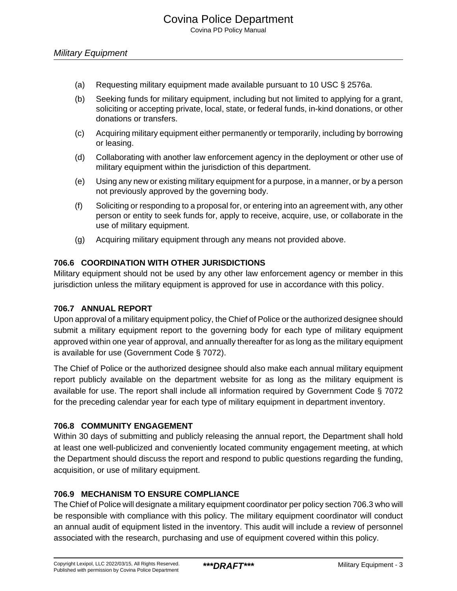- (a) Requesting military equipment made available pursuant to 10 USC § 2576a.
- (b) Seeking funds for military equipment, including but not limited to applying for a grant, soliciting or accepting private, local, state, or federal funds, in-kind donations, or other donations or transfers.
- (c) Acquiring military equipment either permanently or temporarily, including by borrowing or leasing.
- (d) Collaborating with another law enforcement agency in the deployment or other use of military equipment within the jurisdiction of this department.
- (e) Using any new or existing military equipment for a purpose, in a manner, or by a person not previously approved by the governing body.
- (f) Soliciting or responding to a proposal for, or entering into an agreement with, any other person or entity to seek funds for, apply to receive, acquire, use, or collaborate in the use of military equipment.
- (g) Acquiring military equipment through any means not provided above.

### **706.6 COORDINATION WITH OTHER JURISDICTIONS**

Military equipment should not be used by any other law enforcement agency or member in this jurisdiction unless the military equipment is approved for use in accordance with this policy.

### **706.7 ANNUAL REPORT**

Upon approval of a military equipment policy, the Chief of Police or the authorized designee should submit a military equipment report to the governing body for each type of military equipment approved within one year of approval, and annually thereafter for as long as the military equipment is available for use (Government Code § 7072).

The Chief of Police or the authorized designee should also make each annual military equipment report publicly available on the department website for as long as the military equipment is available for use. The report shall include all information required by Government Code § 7072 for the preceding calendar year for each type of military equipment in department inventory.

### **706.8 COMMUNITY ENGAGEMENT**

Within 30 days of submitting and publicly releasing the annual report, the Department shall hold at least one well-publicized and conveniently located community engagement meeting, at which the Department should discuss the report and respond to public questions regarding the funding, acquisition, or use of military equipment.

## **706.9 MECHANISM TO ENSURE COMPLIANCE**

The Chief of Police will designate a military equipment coordinator per policy section 706.3 who will be responsible with compliance with this policy. The military equipment coordinator will conduct an annual audit of equipment listed in the inventory. This audit will include a review of personnel associated with the research, purchasing and use of equipment covered within this policy.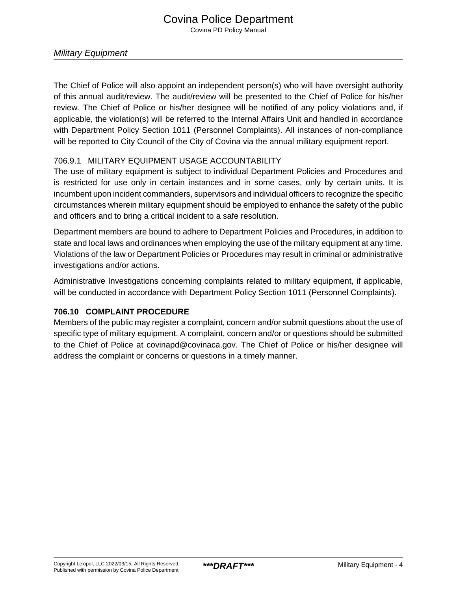The Chief of Police will also appoint an independent person(s) who will have oversight authority of this annual audit/review. The audit/review will be presented to the Chief of Police for his/her review. The Chief of Police or his/her designee will be notified of any policy violations and, if applicable, the violation(s) will be referred to the Internal Affairs Unit and handled in accordance with Department Policy Section 1011 (Personnel Complaints). All instances of non-compliance will be reported to City Council of the City of Covina via the annual military equipment report.

## 706.9.1 MILITARY EQUIPMENT USAGE ACCOUNTABILITY

The use of military equipment is subject to individual Department Policies and Procedures and is restricted for use only in certain instances and in some cases, only by certain units. It is incumbent upon incident commanders, supervisors and individual officers to recognize the specific circumstances wherein military equipment should be employed to enhance the safety of the public and officers and to bring a critical incident to a safe resolution.

Department members are bound to adhere to Department Policies and Procedures, in addition to state and local laws and ordinances when employing the use of the military equipment at any time. Violations of the law or Department Policies or Procedures may result in criminal or administrative investigations and/or actions.

Administrative Investigations concerning complaints related to military equipment, if applicable, will be conducted in accordance with Department Policy Section 1011 (Personnel Complaints).

# **706.10 COMPLAINT PROCEDURE**

Members of the public may register a complaint, concern and/or submit questions about the use of specific type of military equipment. A complaint, concern and/or or questions should be submitted to the Chief of Police at covinapd@covinaca.gov. The Chief of Police or his/her designee will address the complaint or concerns or questions in a timely manner.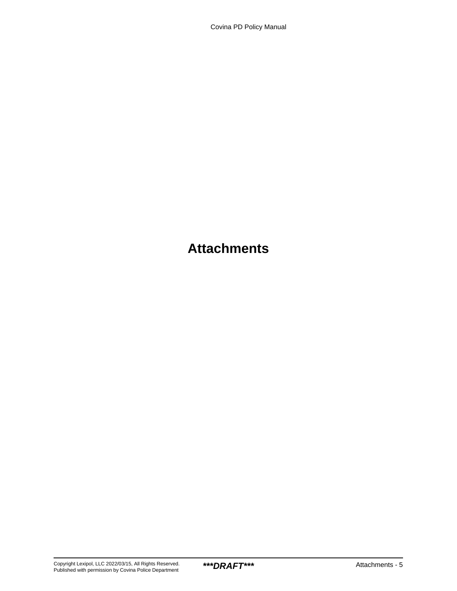# **Attachments**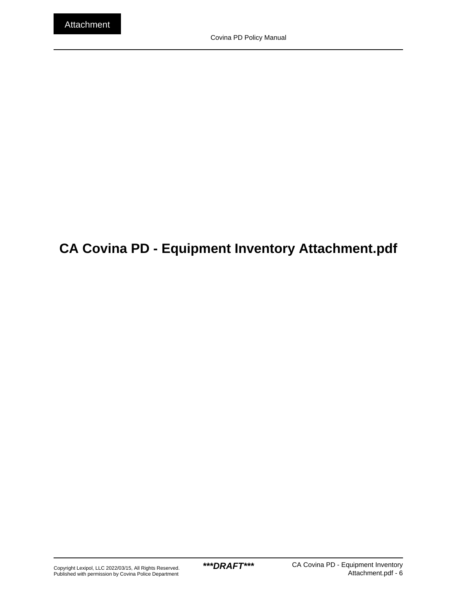# <span id="page-5-0"></span>**CA Covina PD - Equipment Inventory Attachment.pdf**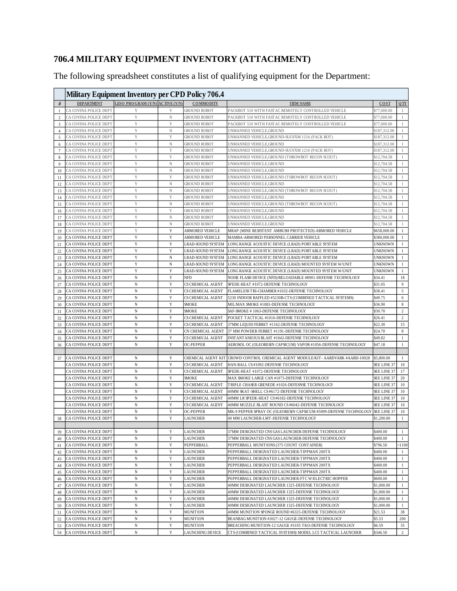# **706.4 MILITARY EQUIPMENT INVENTORY (ATTACHMENT)**

The following spreadsheet constitutes a list of qualifying equipment for the Department:

|                | Military Equipment Inventory per CPD Policy 706.4 |                                 |                  |                                            |                                                                                                      |                            |                              |
|----------------|---------------------------------------------------|---------------------------------|------------------|--------------------------------------------|------------------------------------------------------------------------------------------------------|----------------------------|------------------------------|
| #              | <b>DEPARTMENT</b>                                 | LESO PROGRAM (Y/N) ACTIVE (Y/N) |                  | <b>COMMODITY</b>                           | <b>ITEM NAME</b>                                                                                     | COST                       | 0 <sub>TY</sub>              |
| - 1            | CA COVINA POLICE DEPT                             | Y                               | Y                | <b>GROUND ROBOT</b>                        | PACKBOT 510 WITH FASTAC REMOTELY CONTROLLED VEHICLE                                                  | \$77,000.00                |                              |
| 2              | CA COVINA POLICE DEPT                             | Y                               | $_{\rm N}$       | <b>GROUND ROBOT</b>                        | PACKBOT 510 WITH FASTAC REMOTELY CONTROLLED VEHICLE                                                  | \$77,000.00                | 1                            |
| 3              | CA COVINA POLICE DEPT                             | Y                               | Y                | <b>GROUND ROBOT</b>                        | PACKBOT 510 WITH FASTAC REMOTELY CONTROLLED VEHICLE                                                  | \$77,000.00                | $\overline{1}$               |
| $\overline{4}$ | CA COVINA POLICE DEPT                             | Y                               | N                | <b>GROUND ROBOT</b>                        | UNMANNED VEHICLE, GROUND                                                                             | \$187,312.00               | 1                            |
| 5              | CA COVINA POLICE DEPT                             | Y                               | Y                | <b>GROUND ROBOT</b>                        | UNMANNED VEHICLE, GROUND-SUGVXM 1216 (PACK BOT)                                                      | \$187,312.00               | $\overline{1}$               |
| 6              | CA COVINA POLICE DEPT                             | Y                               | N                | <b>GROUND ROBOT</b>                        | UNMANNED VEHICLE, GROUND                                                                             | \$187,312.00               | $\overline{1}$               |
| $\overline{7}$ | CA COVINA POLICE DEPT                             | Y                               | Y                | <b>GROUND ROBOT</b>                        | UNMANNED VEHICLE, GROUND-SUGVXM 1216 (PACK BOT)                                                      | \$187,312.00               | $\overline{1}$               |
| 8              | CA COVINA POLICE DEPT                             | Y                               | Y                | <b>GROUND ROBOT</b>                        | UNMANNED VEHICLE, GROUND (THROWBOT RECON SCOUT)                                                      | \$12,704.58                | 1                            |
| 9              | CA COVINA POLICE DEPT                             | Y                               | $\mathbf N$      | <b>GROUND ROBOT</b>                        | UNMANNED VEHICLE,GROUND                                                                              | \$12,704.58                | $\mathbf{1}$                 |
| 10             | CA COVINA POLICE DEPT                             | Y                               | N                | <b>GROUND ROBOT</b>                        | UNMANNED VEHICLE, GROUND                                                                             | \$12,704.58                | 1                            |
| 11             | CA COVINA POLICE DEPT                             | Y                               | Y                | <b>GROUND ROBOT</b>                        | UNMANNED VEHICLE, GROUND (THROWBOT RECON SCOUT)                                                      | \$12,704.58                | $\mathbf{1}$                 |
| 12             | CA COVINA POLICE DEPT                             | Y<br>Y                          | N                | <b>GROUND ROBOT</b>                        | UNMANNED VEHICLE,GROUND                                                                              | \$12,704.58<br>\$12,704.58 | $\mathbf{1}$<br>-1           |
| 13             | CA COVINA POLICE DEPT<br>CA COVINA POLICE DEPT    | Y                               | N<br>Y           | <b>GROUND ROBOT</b><br><b>GROUND ROBOT</b> | UNMANNED VEHICLE, GROUND (THROWBOT RECON SCOUT)<br>UNMANNED VEHICLE, GROUND                          | \$12,704.58                |                              |
| 14<br>15       | CA COVINA POLICE DEPT                             | Y                               | N                | <b>GROUND ROBOT</b>                        | UNMANNED VEHICLE, GROUND (THROWBOT RECON SCOUT)                                                      | \$12,704.58                | -1                           |
| 16             | CA COVINA POLICE DEPT                             | Y                               | Y                | <b>GROUND ROBOT</b>                        | UNMANNED VEHICLE, GROUND                                                                             | \$12,704.58                | -1                           |
| 17             | CA COVINA POLICE DEPT                             | Y                               | N                | <b>GROUND ROBOT</b>                        | UNMANNED VEHICLE, GROUND                                                                             | \$12,704.58                | -1                           |
| 18             | CA COVINA POLICE DEPT                             | Y                               | N                | <b>GROUND ROBOT</b>                        | UNMANNED VEHICLE, GROUND                                                                             | \$12,704.58                |                              |
| 19             | CA COVINA POLICE DEPT                             | Y                               | Y                | ARMORED VEHICLE                            | MRAP (MINE RESISTENT AMBUSH PROTECTED)-ARMORED VEHICLE                                               | \$658,000.00               | -1                           |
| 20             | CA COVINA POLICE DEPT                             | Y                               | Y                | <b>ARMORED VEHICLE</b>                     | MAMBA-ARMORED PERSONNEL CARRIER VEHICLE                                                              | \$380,000.00               | -1                           |
| 21             | CA COVINA POLICE DEPT                             | Y                               | Y                | <b>LRAD-SOUND SYSTEM</b>                   | LONG RANGE ACOUSTIC DEVICE (LRAD) PORTABLE SYSTEM                                                    | <b>UNKNOWN</b>             | -1                           |
| 22             | CA COVINA POLICE DEPT                             | Y                               | Y                | <b>LRAD-SOUND SYSTEM</b>                   | LONG RANGE ACOUSTIC DEVICE (LRAD) PORT ABLE SYSTEM                                                   | <b>UNKNOWN</b>             | -1                           |
| 23             | CA COVINA POLICE DEPT                             | Y                               | N                | <b>LRAD-SOUND SYSTEM</b>                   | LONG RANGE ACOUSTIC DEVICE (LRAD) PORTABLE SYSTEM                                                    | <b>UNKNOWN</b>             | -1                           |
| 24             | CA COVINA POLICE DEPT                             | Y                               | N                | <b>LRAD-SOUND SYSTEM</b>                   | LONG RANGE ACOUSTIC DEVICE (LRAD) MOUNTED SYSTEM W/UNIT                                              | <b>UNKNOWN</b>             | -1                           |
| 25             | CA COVINA POLICE DEPT                             | Y                               | Y                | <b>LRAD-SOUND SYSTEM</b>                   | LONG RANGE ACOUSTIC DEVICE (LRAD) MOUNTED SYSTEM W/UNIT                                              | <b>UNKNOWN</b>             | $\mathbf{1}$                 |
| 26             | CA COVINA POLICE DEPT                             | N                               | Y                | <b>NFD</b>                                 | NOISE FLASH DEVICE (NFD)/RELOADABLE #8901-DEFENSE TECHNOLOGY                                         | \$34.41                    | 18                           |
| 27             | CA COVINA POLICE DEPT                             | $\mathbf N$                     | Y                | CS CHEMICAL AGENT                          | SPEDE-HEAT #1072-DEFENSE TECHNOLOGY                                                                  | \$31.05                    | 9                            |
| 28             | CA COVINA POLICE DEPT                             | N                               | Y                | CS CHEMICAL AGENT                          | FLAMELESS TRI-CHAMBER #1032-DEFENSE TECHNOLOGY                                                       | \$38.41                    | 5                            |
| 29             | CA COVINA POLICE DEPT                             | $\mathbf N$                     | Y                | CS CHEMICAL AGENT                          | 5230 INDOOR BAFFLED #5230B-CTS (COMBINED TACTICAL SYSTEMS)                                           | \$49.75                    | 6                            |
| 30             | CA COVINA POLICE DEPT                             | N                               | Y                | <b>SMOKE</b>                               | MIL/MAX SMOKE #1083-DEFENSE TECHNOLOGY                                                               | \$36.90                    | 8                            |
| 31             | CA COVINA POLICE DEPT                             | $\mathbf N$                     | Y                | <b>SMOKE</b>                               | SAF-SMOKE #1063-DEFENSE TECHNOLOGY                                                                   | \$30.70                    | 2                            |
| 32             | CA COVINA POLICE DEPT                             | N                               | Y                | CS CHEMICAL AGENT                          | POCKET TACTICAL #1016-DEFENSE TECHNOLOGY                                                             | \$26.41                    | $\overline{2}$               |
| 33             | CA COVINA POLICE DEPT                             | $\mathbf N$                     | Y                | CS CHEMICAL AGENT                          | 37MM LIQUID FERRET #1162-DEFENSE TECHNOLOGY                                                          | \$22.30                    | 15                           |
| 34             | CA COVINA POLICE DEPT                             | N                               | Y                | CN CHEMICAL AGENT                          | 37 MM POWDER FERRET #1191-DEFENSE TECHNOLOGY                                                         | \$24.70                    | $\,$ 8 $\,$                  |
| 35             | CA COVINA POLICE DEPT<br>CA COVINA POLICE DEPT    | N<br>N                          | Y<br>Y           | CS CHEMICAL AGENT<br><b>OC-PEPPER</b>      | INST ANT ANEOUS BLAST #1042-DEFENSE TECHNOLOGY                                                       | \$49.82<br>\$47.18         | $\mathbf{1}$<br>1            |
| 36             |                                                   |                                 |                  |                                            | AEROSOL OC (OLEORESIN CAPSICUM) VAPOR #1056-DEFENSE TECHNOLOGY                                       |                            |                              |
| 37             | CA COVINA POLICE DEPT                             | N                               | Y                | CHEMICAL AGENT KIT                         | CROWD CONTROL CHEMICAL AGENT MODULE/KIT-AARDVARK #AARD-10028                                         | \$5,800.00                 | -1                           |
|                | CA COVINA POLICE DEPT                             | N                               | Y                | CS CHEMICAL AGENT                          | HAN-BALL CS #1092-DEFENSE TECHNOLOGY                                                                 | SEE LINE 37                | 10                           |
|                | CA COVINA POLICE DEPT                             | N                               | Y                | CS CHEMICAL AGENT                          | SPEDE-HEAT #1072-DEFENSE TECHNOLOGY                                                                  | SEE LINE 37                | 17                           |
|                | CA COVINA POLICE DEPT                             | $\mathbf N$                     | Y                | <b>SMOKE</b>                               | MAX SMOKE LARGE CAN #1073-DEFENSE TECHNOLOGY                                                         | SEE LINE 37                | 20                           |
|                | CA COVINA POLICE DEPT                             | N                               | Y                | CS CHEMICAL AGENT                          | TRIPLE CHASER GRENEDE #1026-DEFESNSE TECHNOLOGY                                                      | SEE LINE 37                | 10                           |
|                | CA COVINA POLICE DEPT                             | N                               | Y                | CS CHEMICAL AGENT                          | 40MM SKAT-SHELL CS #6172-DEFENSE TECHNOLOGY                                                          | SEE LINE 37                | 10                           |
|                | CA COVINA POLICE DEPT                             | N                               | Y                | CS CHEMICAL AGENT                          | 40MM LR SPEDE-HEAT CS #6182-DEFENSE TECHNOLOGY                                                       | SEE LINE 37                | 10                           |
|                | CA COVINA POLICE DEPT                             | N                               | Y                | CS CHEMICAL AGENT                          | 40MM MUZZLE BLAST ROUND CS #6042-DEFENSE TECHNOLOGY                                                  | SEE LINE 37                | 10                           |
|                | CA COVINA POLICE DEPT                             | N                               | Y                | OC-PEPPER                                  | MK-9 PEPPER SPRAY OC (OLEORESIN CAPSICUM #5099-DEFENSE TECHNOLOGY                                    | SEE LINE 37                | 10                           |
| 38             | CA COVINA POLICE DEPT                             | N                               | Y                | <b>LAUNCHER</b>                            | 40 MM LAUNCHER-LMT-DEFENSE TECHNOLOGY                                                                | \$1,200.00                 | $\mathbf{1}$                 |
|                |                                                   |                                 |                  |                                            |                                                                                                      |                            |                              |
| 39             | CA COVINA POLICE DEPT                             | $_{\rm N}$                      | Y                | <b>LAUNCHER</b>                            | 37MM DESIGNATED CNS GAS LAUNCHER-DEFENSE TECHNOLOGY                                                  | \$400.00                   | $\mathbf{1}$                 |
| 40             | CA COVINA POLICE DEPT                             | $_{\rm N}$                      | Y                | <b>LAUNCHER</b>                            | 37MM DESIGNATED CNS GAS LAUNCHER-DEFENSE TECHNOLOGY                                                  | \$400.00                   | $\mathbf{1}$                 |
| 41             | CA COVINA POLICE DEPT                             | $_{\rm N}$                      | $\mathbf Y$      | PEPPERBALL                                 | PEPPERBALL MUNITIONS (375 COUNT CONTAINER)                                                           | \$796.50                   | < 1100                       |
| 42             | CA COVINA POLICE DEPT                             | $_{\rm N}$                      | Y                | <b>LAUNCHER</b>                            | PEPPERBALL DESIGNATED LAUNCHER-TIPPMAN 200TX                                                         | \$400.00                   | $\mathbf{1}$                 |
| 43             | CA COVINA POLICE DEPT                             | $\mathbf N$                     | $\mathbf Y$      | <b>LAUNCHER</b>                            | PEPPERBALL DESIGNATED LAUNCHER-TIPPMAN 200TX                                                         | \$400.00                   | $\mathbf{1}$                 |
| 44             | CA COVINA POLICE DEPT                             | $\, {\rm N}$                    | Y                | <b>LAUNCHER</b>                            | PEPPERBALL DESIGNATED LAUNCHER-TIPPMAN 200TX                                                         | \$400.00                   | $\mathbf{1}$                 |
| 45             | CA COVINA POLICE DEPT                             | $\, {\rm N}$                    | $\mathbf Y$      | <b>LAUNCHER</b>                            | PEPPERBALL DESIGNATED LAUNCHER-TIPPMAN 200TX                                                         | \$400.00                   | $\mathbf{1}$                 |
| 46             | CA COVINA POLICE DEPT                             | $\, {\rm N}$                    | Y                | <b>LAUNCHER</b>                            | PEPPERBALL DESIGNATED LAUNCHER-FTC W/ELECTRIC HOPPER                                                 | \$600.00                   | $\mathbf{1}$                 |
| 47             | CA COVINA POLICE DEPT<br>CA COVINA POLICE DEPT    | $\, {\rm N}$<br>$\mathbf N$     | $\mathbf Y$<br>Y | <b>LAUNCHER</b><br><b>LAUNCHER</b>         | 40MM DESIGNATED LAUNCHER 1325-DEFENSE TECHNOLOGY<br>40MM DESIGNATED LAUNCHER 1325-DEFENSE TECHNOLOGY | \$1,000.00                 | $\mathbf{1}$<br>$\mathbf{1}$ |
| 48             | CA COVINA POLICE DEPT                             | $_{\rm N}$                      | $\mathbf Y$      | <b>LAUNCHER</b>                            | 40MM DESIGNATED LAUNCHER 1325-DEFENSE TECHNOLOGY                                                     | \$1,000.00<br>\$1,000.00   | $\mathbf{1}$                 |
| 49             | CA COVINA POLICE DEPT                             | $\mathbf N$                     | Y                | <b>LAUNCHER</b>                            | 40MM DESIGNATED LAUNCHER 1325-DEFENSE TECHNOLOGY                                                     | \$1,000.00                 | $\mathbf{1}$                 |
| 50<br>51       | CA COVINA POLICE DEPT                             | $_{\rm N}$                      | $\mathbf Y$      | <b>MUNITION</b>                            | 40MM MUNITION SPONGE ROUND #6325-DEFENSE TECHNOLOGY                                                  | \$21.53                    | 38                           |
| 52             | CA COVINA POLICE DEPT                             | $_{\rm N}$                      | Y                | <b>MUNITION</b>                            | BEANBAG MUNITION #3027-12 GAUGE-DEFENSE TECHNOLOGY                                                   | \$5.53                     | 200                          |
| 53             | CA COVINA POLICE DEPT                             | $_{\rm N}$                      | $\mathbf Y$      | <b>MUNITION</b>                            | BREACHING MUNITION-12 GAUGE #3105 TKO-DEFENSE TECHNOLOGY                                             | \$6.59                     | 35                           |
| 54             | CA COVINA POLICE DEPT                             | N                               | Y                | LAUNCHING DEVICE                           | CTS (COMBINED TACTICAL SYSTEMS) MODEL LC5 TACTICAL LAUNCHER                                          | \$346.50                   | $\overline{c}$               |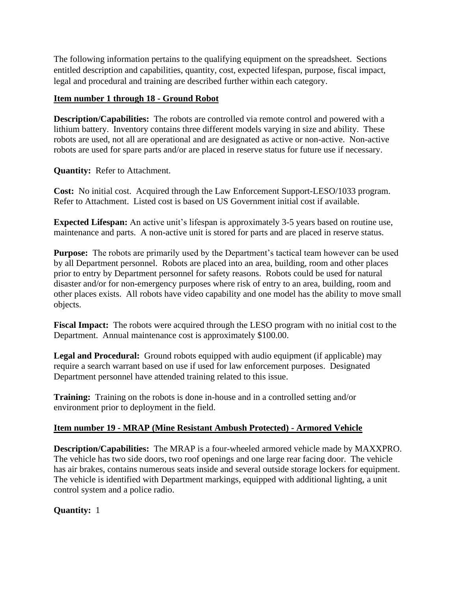The following information pertains to the qualifying equipment on the spreadsheet. Sections entitled description and capabilities, quantity, cost, expected lifespan, purpose, fiscal impact, legal and procedural and training are described further within each category.

# **Item number 1 through 18 - Ground Robot**

**Description/Capabilities:** The robots are controlled via remote control and powered with a lithium battery. Inventory contains three different models varying in size and ability. These robots are used, not all are operational and are designated as active or non-active. Non-active robots are used for spare parts and/or are placed in reserve status for future use if necessary.

**Quantity:** Refer to Attachment.

**Cost:** No initial cost. Acquired through the Law Enforcement Support-LESO/1033 program. Refer to Attachment. Listed cost is based on US Government initial cost if available.

**Expected Lifespan:** An active unit's lifespan is approximately 3-5 years based on routine use, maintenance and parts. A non-active unit is stored for parts and are placed in reserve status.

**Purpose:** The robots are primarily used by the Department's tactical team however can be used by all Department personnel. Robots are placed into an area, building, room and other places prior to entry by Department personnel for safety reasons. Robots could be used for natural disaster and/or for non-emergency purposes where risk of entry to an area, building, room and other places exists. All robots have video capability and one model has the ability to move small objects.

**Fiscal Impact:** The robots were acquired through the LESO program with no initial cost to the Department. Annual maintenance cost is approximately \$100.00.

**Legal and Procedural:** Ground robots equipped with audio equipment (if applicable) may require a search warrant based on use if used for law enforcement purposes. Designated Department personnel have attended training related to this issue.

**Training:** Training on the robots is done in-house and in a controlled setting and/or environment prior to deployment in the field.

# **Item number 19 - MRAP (Mine Resistant Ambush Protected) - Armored Vehicle**

**Description/Capabilities:** The MRAP is a four-wheeled armored vehicle made by MAXXPRO. The vehicle has two side doors, two roof openings and one large rear facing door. The vehicle has air brakes, contains numerous seats inside and several outside storage lockers for equipment. The vehicle is identified with Department markings, equipped with additional lighting, a unit control system and a police radio.

**Quantity:** 1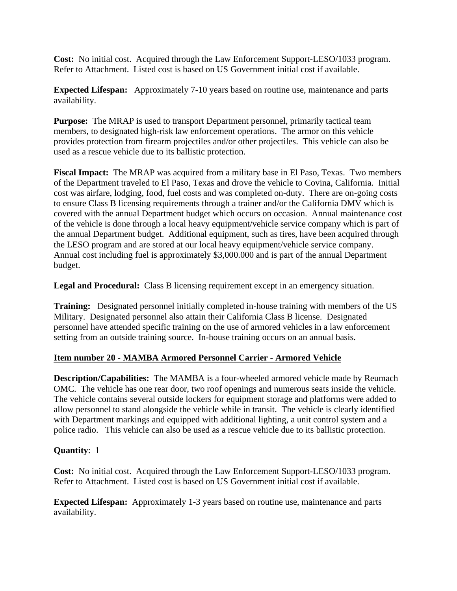**Cost:** No initial cost. Acquired through the Law Enforcement Support-LESO/1033 program. Refer to Attachment. Listed cost is based on US Government initial cost if available.

**Expected Lifespan:** Approximately 7-10 years based on routine use, maintenance and parts availability.

**Purpose:** The MRAP is used to transport Department personnel, primarily tactical team members, to designated high-risk law enforcement operations. The armor on this vehicle provides protection from firearm projectiles and/or other projectiles. This vehicle can also be used as a rescue vehicle due to its ballistic protection.

**Fiscal Impact:** The MRAP was acquired from a military base in El Paso, Texas. Two members of the Department traveled to El Paso, Texas and drove the vehicle to Covina, California. Initial cost was airfare, lodging, food, fuel costs and was completed on-duty. There are on-going costs to ensure Class B licensing requirements through a trainer and/or the California DMV which is covered with the annual Department budget which occurs on occasion. Annual maintenance cost of the vehicle is done through a local heavy equipment/vehicle service company which is part of the annual Department budget. Additional equipment, such as tires, have been acquired through the LESO program and are stored at our local heavy equipment/vehicle service company. Annual cost including fuel is approximately \$3,000.000 and is part of the annual Department budget.

**Legal and Procedural:** Class B licensing requirement except in an emergency situation.

**Training:** Designated personnel initially completed in-house training with members of the US Military. Designated personnel also attain their California Class B license. Designated personnel have attended specific training on the use of armored vehicles in a law enforcement setting from an outside training source. In-house training occurs on an annual basis.

# **Item number 20 - MAMBA Armored Personnel Carrier - Armored Vehicle**

**Description/Capabilities:** The MAMBA is a four-wheeled armored vehicle made by Reumach OMC. The vehicle has one rear door, two roof openings and numerous seats inside the vehicle. The vehicle contains several outside lockers for equipment storage and platforms were added to allow personnel to stand alongside the vehicle while in transit. The vehicle is clearly identified with Department markings and equipped with additional lighting, a unit control system and a police radio. This vehicle can also be used as a rescue vehicle due to its ballistic protection.

# **Quantity**: 1

**Cost:** No initial cost. Acquired through the Law Enforcement Support-LESO/1033 program. Refer to Attachment. Listed cost is based on US Government initial cost if available.

**Expected Lifespan:** Approximately 1-3 years based on routine use, maintenance and parts availability.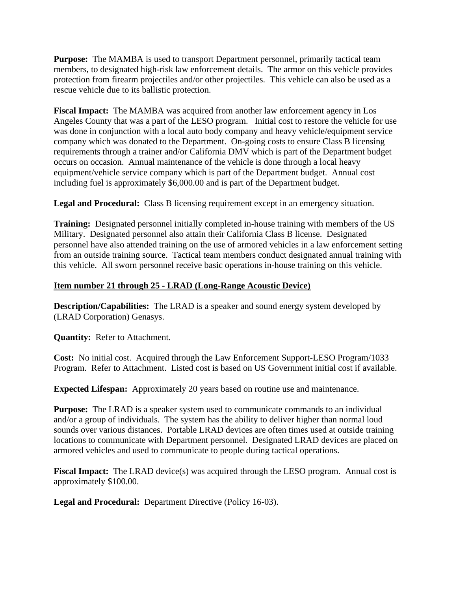**Purpose:** The MAMBA is used to transport Department personnel, primarily tactical team members, to designated high-risk law enforcement details. The armor on this vehicle provides protection from firearm projectiles and/or other projectiles. This vehicle can also be used as a rescue vehicle due to its ballistic protection.

**Fiscal Impact:** The MAMBA was acquired from another law enforcement agency in Los Angeles County that was a part of the LESO program. Initial cost to restore the vehicle for use was done in conjunction with a local auto body company and heavy vehicle/equipment service company which was donated to the Department. On-going costs to ensure Class B licensing requirements through a trainer and/or California DMV which is part of the Department budget occurs on occasion. Annual maintenance of the vehicle is done through a local heavy equipment/vehicle service company which is part of the Department budget. Annual cost including fuel is approximately \$6,000.00 and is part of the Department budget.

**Legal and Procedural:** Class B licensing requirement except in an emergency situation.

**Training:** Designated personnel initially completed in-house training with members of the US Military. Designated personnel also attain their California Class B license. Designated personnel have also attended training on the use of armored vehicles in a law enforcement setting from an outside training source. Tactical team members conduct designated annual training with this vehicle. All sworn personnel receive basic operations in-house training on this vehicle.

# **Item number 21 through 25 - LRAD (Long-Range Acoustic Device)**

**Description/Capabilities:** The LRAD is a speaker and sound energy system developed by (LRAD Corporation) Genasys.

**Quantity:** Refer to Attachment.

**Cost:** No initial cost. Acquired through the Law Enforcement Support-LESO Program/1033 Program. Refer to Attachment. Listed cost is based on US Government initial cost if available.

**Expected Lifespan:** Approximately 20 years based on routine use and maintenance.

**Purpose:** The LRAD is a speaker system used to communicate commands to an individual and/or a group of individuals. The system has the ability to deliver higher than normal loud sounds over various distances. Portable LRAD devices are often times used at outside training locations to communicate with Department personnel. Designated LRAD devices are placed on armored vehicles and used to communicate to people during tactical operations.

**Fiscal Impact:** The LRAD device(s) was acquired through the LESO program. Annual cost is approximately \$100.00.

**Legal and Procedural:** Department Directive (Policy 16-03).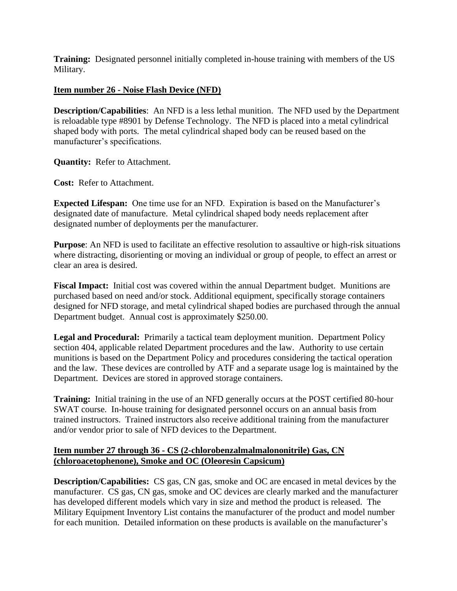**Training:** Designated personnel initially completed in-house training with members of the US Military.

# **Item number 26 - Noise Flash Device (NFD)**

**Description/Capabilities**: An NFD is a less lethal munition. The NFD used by the Department is reloadable type #8901 by Defense Technology. The NFD is placed into a metal cylindrical shaped body with ports. The metal cylindrical shaped body can be reused based on the manufacturer's specifications.

**Quantity:** Refer to Attachment.

**Cost:** Refer to Attachment.

**Expected Lifespan:** One time use for an NFD. Expiration is based on the Manufacturer's designated date of manufacture. Metal cylindrical shaped body needs replacement after designated number of deployments per the manufacturer.

**Purpose**: An NFD is used to facilitate an effective resolution to assaultive or high-risk situations where distracting, disorienting or moving an individual or group of people, to effect an arrest or clear an area is desired.

**Fiscal Impact:** Initial cost was covered within the annual Department budget. Munitions are purchased based on need and/or stock. Additional equipment, specifically storage containers designed for NFD storage, and metal cylindrical shaped bodies are purchased through the annual Department budget. Annual cost is approximately \$250.00.

**Legal and Procedural:** Primarily a tactical team deployment munition. Department Policy section 404, applicable related Department procedures and the law. Authority to use certain munitions is based on the Department Policy and procedures considering the tactical operation and the law. These devices are controlled by ATF and a separate usage log is maintained by the Department. Devices are stored in approved storage containers.

**Training:** Initial training in the use of an NFD generally occurs at the POST certified 80-hour SWAT course. In-house training for designated personnel occurs on an annual basis from trained instructors. Trained instructors also receive additional training from the manufacturer and/or vendor prior to sale of NFD devices to the Department.

# **Item number 27 through 36 - CS (2-chlorobenzalmalmalononitrile) Gas, CN (chloroacetophenone), Smoke and OC (Oleoresin Capsicum)**

**Description/Capabilities:** CS gas, CN gas, smoke and OC are encased in metal devices by the manufacturer. CS gas, CN gas, smoke and OC devices are clearly marked and the manufacturer has developed different models which vary in size and method the product is released. The Military Equipment Inventory List contains the manufacturer of the product and model number for each munition. Detailed information on these products is available on the manufacturer's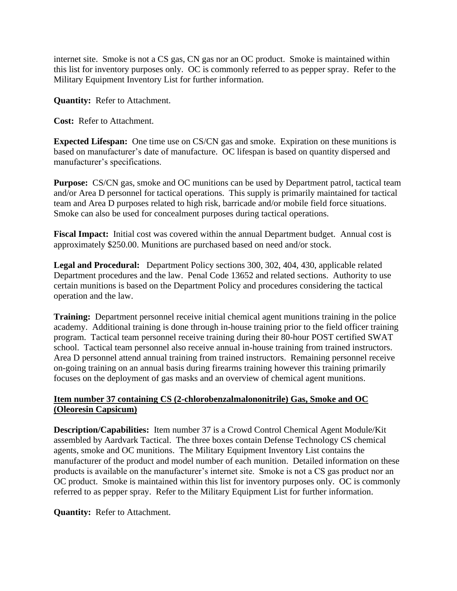internet site. Smoke is not a CS gas, CN gas nor an OC product. Smoke is maintained within this list for inventory purposes only. OC is commonly referred to as pepper spray. Refer to the Military Equipment Inventory List for further information.

**Quantity:** Refer to Attachment.

**Cost:** Refer to Attachment.

**Expected Lifespan:** One time use on CS/CN gas and smoke. Expiration on these munitions is based on manufacturer's date of manufacture. OC lifespan is based on quantity dispersed and manufacturer's specifications.

**Purpose:** CS/CN gas, smoke and OC munitions can be used by Department patrol, tactical team and/or Area D personnel for tactical operations. This supply is primarily maintained for tactical team and Area D purposes related to high risk, barricade and/or mobile field force situations. Smoke can also be used for concealment purposes during tactical operations.

**Fiscal Impact:** Initial cost was covered within the annual Department budget. Annual cost is approximately \$250.00. Munitions are purchased based on need and/or stock.

**Legal and Procedural:** Department Policy sections 300, 302, 404, 430, applicable related Department procedures and the law. Penal Code 13652 and related sections. Authority to use certain munitions is based on the Department Policy and procedures considering the tactical operation and the law.

**Training:** Department personnel receive initial chemical agent munitions training in the police academy. Additional training is done through in-house training prior to the field officer training program. Tactical team personnel receive training during their 80-hour POST certified SWAT school. Tactical team personnel also receive annual in-house training from trained instructors. Area D personnel attend annual training from trained instructors. Remaining personnel receive on-going training on an annual basis during firearms training however this training primarily focuses on the deployment of gas masks and an overview of chemical agent munitions.

# **Item number 37 containing CS (2-chlorobenzalmalononitrile) Gas, Smoke and OC (Oleoresin Capsicum)**

**Description/Capabilities:** Item number 37 is a Crowd Control Chemical Agent Module/Kit assembled by Aardvark Tactical. The three boxes contain Defense Technology CS chemical agents, smoke and OC munitions. The Military Equipment Inventory List contains the manufacturer of the product and model number of each munition. Detailed information on these products is available on the manufacturer's internet site. Smoke is not a CS gas product nor an OC product. Smoke is maintained within this list for inventory purposes only. OC is commonly referred to as pepper spray. Refer to the Military Equipment List for further information.

**Quantity:** Refer to Attachment.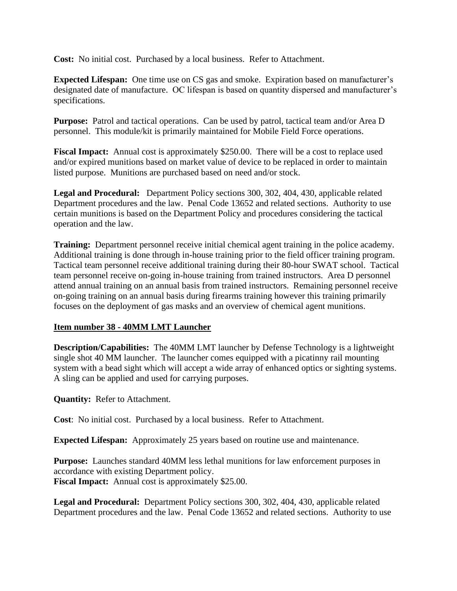**Cost:** No initial cost. Purchased by a local business. Refer to Attachment.

**Expected Lifespan:** One time use on CS gas and smoke. Expiration based on manufacturer's designated date of manufacture. OC lifespan is based on quantity dispersed and manufacturer's specifications.

**Purpose:** Patrol and tactical operations. Can be used by patrol, tactical team and/or Area D personnel. This module/kit is primarily maintained for Mobile Field Force operations.

**Fiscal Impact:** Annual cost is approximately \$250.00. There will be a cost to replace used and/or expired munitions based on market value of device to be replaced in order to maintain listed purpose. Munitions are purchased based on need and/or stock.

**Legal and Procedural:** Department Policy sections 300, 302, 404, 430, applicable related Department procedures and the law. Penal Code 13652 and related sections. Authority to use certain munitions is based on the Department Policy and procedures considering the tactical operation and the law.

**Training:** Department personnel receive initial chemical agent training in the police academy. Additional training is done through in-house training prior to the field officer training program. Tactical team personnel receive additional training during their 80-hour SWAT school. Tactical team personnel receive on-going in-house training from trained instructors. Area D personnel attend annual training on an annual basis from trained instructors. Remaining personnel receive on-going training on an annual basis during firearms training however this training primarily focuses on the deployment of gas masks and an overview of chemical agent munitions.

# **Item number 38 - 40MM LMT Launcher**

**Description/Capabilities:** The 40MM LMT launcher by Defense Technology is a lightweight single shot 40 MM launcher. The launcher comes equipped with a picatinny rail mounting system with a bead sight which will accept a wide array of enhanced optics or sighting systems. A sling can be applied and used for carrying purposes.

**Quantity:** Refer to Attachment.

**Cost**: No initial cost. Purchased by a local business. Refer to Attachment.

**Expected Lifespan:** Approximately 25 years based on routine use and maintenance.

**Purpose:** Launches standard 40MM less lethal munitions for law enforcement purposes in accordance with existing Department policy. **Fiscal Impact:** Annual cost is approximately \$25.00.

**Legal and Procedural:** Department Policy sections 300, 302, 404, 430, applicable related Department procedures and the law. Penal Code 13652 and related sections. Authority to use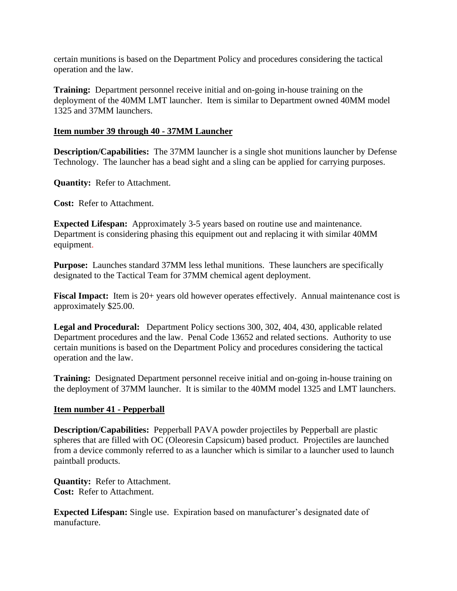certain munitions is based on the Department Policy and procedures considering the tactical operation and the law.

**Training:** Department personnel receive initial and on-going in-house training on the deployment of the 40MM LMT launcher. Item is similar to Department owned 40MM model 1325 and 37MM launchers.

## **Item number 39 through 40 - 37MM Launcher**

**Description/Capabilities:** The 37MM launcher is a single shot munitions launcher by Defense Technology. The launcher has a bead sight and a sling can be applied for carrying purposes.

**Quantity:** Refer to Attachment.

**Cost:** Refer to Attachment.

**Expected Lifespan:** Approximately 3-5 years based on routine use and maintenance. Department is considering phasing this equipment out and replacing it with similar 40MM equipment.

**Purpose:** Launches standard 37MM less lethal munitions. These launchers are specifically designated to the Tactical Team for 37MM chemical agent deployment.

**Fiscal Impact:** Item is 20+ years old however operates effectively. Annual maintenance cost is approximately \$25.00.

**Legal and Procedural:** Department Policy sections 300, 302, 404, 430, applicable related Department procedures and the law. Penal Code 13652 and related sections. Authority to use certain munitions is based on the Department Policy and procedures considering the tactical operation and the law.

**Training:** Designated Department personnel receive initial and on-going in-house training on the deployment of 37MM launcher. It is similar to the 40MM model 1325 and LMT launchers.

### **Item number 41 - Pepperball**

**Description/Capabilities:** Pepperball PAVA powder projectiles by Pepperball are plastic spheres that are filled with OC (Oleoresin Capsicum) based product. Projectiles are launched from a device commonly referred to as a launcher which is similar to a launcher used to launch paintball products.

**Quantity:** Refer to Attachment. **Cost:** Refer to Attachment.

**Expected Lifespan:** Single use.Expiration based on manufacturer's designated date of manufacture.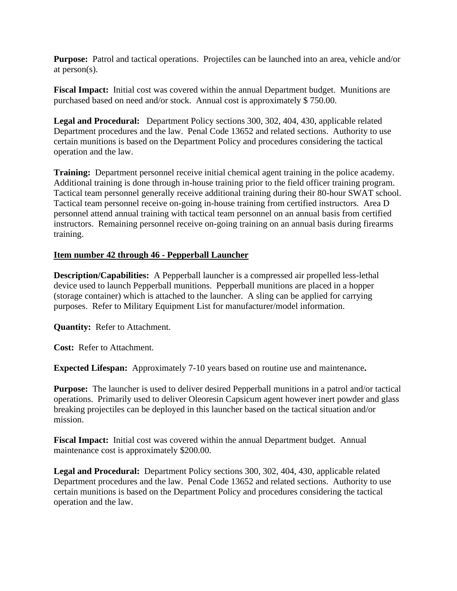**Purpose:** Patrol and tactical operations. Projectiles can be launched into an area, vehicle and/or at person(s).

**Fiscal Impact:** Initial cost was covered within the annual Department budget. Munitions are purchased based on need and/or stock. Annual cost is approximately \$ 750.00.

**Legal and Procedural:** Department Policy sections 300, 302, 404, 430, applicable related Department procedures and the law. Penal Code 13652 and related sections. Authority to use certain munitions is based on the Department Policy and procedures considering the tactical operation and the law.

**Training:** Department personnel receive initial chemical agent training in the police academy. Additional training is done through in-house training prior to the field officer training program. Tactical team personnel generally receive additional training during their 80-hour SWAT school. Tactical team personnel receive on-going in-house training from certified instructors. Area D personnel attend annual training with tactical team personnel on an annual basis from certified instructors. Remaining personnel receive on-going training on an annual basis during firearms training.

## **Item number 42 through 46 - Pepperball Launcher**

**Description/Capabilities:** A Pepperball launcher is a compressed air propelled less-lethal device used to launch Pepperball munitions. Pepperball munitions are placed in a hopper (storage container) which is attached to the launcher. A sling can be applied for carrying purposes. Refer to Military Equipment List for manufacturer/model information.

**Quantity:** Refer to Attachment.

**Cost:** Refer to Attachment.

**Expected Lifespan:** Approximately 7-10 years based on routine use and maintenance**.** 

**Purpose:** The launcher is used to deliver desired Pepperball munitions in a patrol and/or tactical operations. Primarily used to deliver Oleoresin Capsicum agent however inert powder and glass breaking projectiles can be deployed in this launcher based on the tactical situation and/or mission.

**Fiscal Impact:** Initial cost was covered within the annual Department budget. Annual maintenance cost is approximately \$200.00.

**Legal and Procedural:** Department Policy sections 300, 302, 404, 430, applicable related Department procedures and the law. Penal Code 13652 and related sections. Authority to use certain munitions is based on the Department Policy and procedures considering the tactical operation and the law.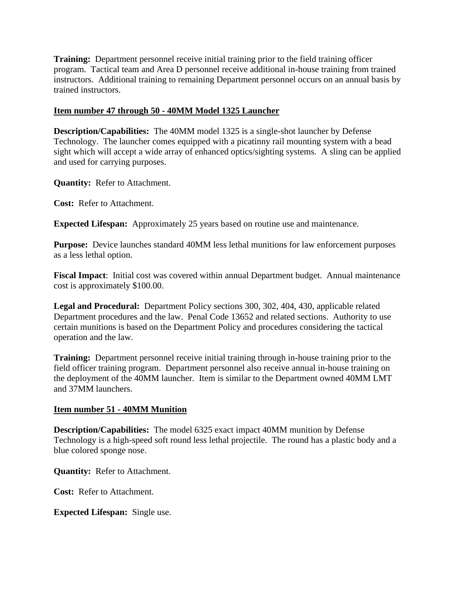**Training:** Department personnel receive initial training prior to the field training officer program. Tactical team and Area D personnel receive additional in-house training from trained instructors. Additional training to remaining Department personnel occurs on an annual basis by trained instructors.

## **Item number 47 through 50 - 40MM Model 1325 Launcher**

**Description/Capabilities:** The 40MM model 1325 is a single-shot launcher by Defense Technology. The launcher comes equipped with a picatinny rail mounting system with a bead sight which will accept a wide array of enhanced optics/sighting systems. A sling can be applied and used for carrying purposes.

**Quantity:** Refer to Attachment.

**Cost:** Refer to Attachment.

**Expected Lifespan:** Approximately 25 years based on routine use and maintenance.

**Purpose:** Device launches standard 40MM less lethal munitions for law enforcement purposes as a less lethal option.

**Fiscal Impact**: Initial cost was covered within annual Department budget. Annual maintenance cost is approximately \$100.00.

**Legal and Procedural:** Department Policy sections 300, 302, 404, 430, applicable related Department procedures and the law. Penal Code 13652 and related sections. Authority to use certain munitions is based on the Department Policy and procedures considering the tactical operation and the law.

**Training:** Department personnel receive initial training through in-house training prior to the field officer training program. Department personnel also receive annual in-house training on the deployment of the 40MM launcher. Item is similar to the Department owned 40MM LMT and 37MM launchers.

# **Item number 51 - 40MM Munition**

**Description/Capabilities:** The model 6325 exact impact 40MM munition by Defense Technology is a high-speed soft round less lethal projectile. The round has a plastic body and a blue colored sponge nose.

**Quantity:** Refer to Attachment.

**Cost:** Refer to Attachment.

**Expected Lifespan:** Single use.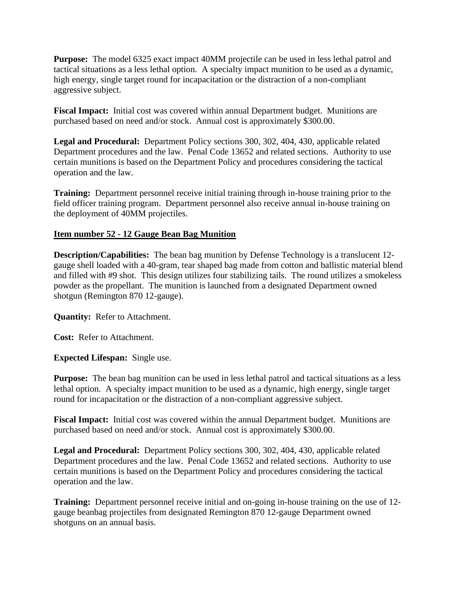**Purpose:** The model 6325 exact impact 40MM projectile can be used in less lethal patrol and tactical situations as a less lethal option. A specialty impact munition to be used as a dynamic, high energy, single target round for incapacitation or the distraction of a non-compliant aggressive subject.

**Fiscal Impact:** Initial cost was covered within annual Department budget. Munitions are purchased based on need and/or stock. Annual cost is approximately \$300.00.

**Legal and Procedural:** Department Policy sections 300, 302, 404, 430, applicable related Department procedures and the law. Penal Code 13652 and related sections. Authority to use certain munitions is based on the Department Policy and procedures considering the tactical operation and the law.

**Training:** Department personnel receive initial training through in-house training prior to the field officer training program. Department personnel also receive annual in-house training on the deployment of 40MM projectiles.

# **Item number 52 - 12 Gauge Bean Bag Munition**

**Description/Capabilities:** The bean bag munition by Defense Technology is a translucent 12 gauge shell loaded with a 40-gram, tear shaped bag made from cotton and ballistic material blend and filled with #9 shot. This design utilizes four stabilizing tails. The round utilizes a smokeless powder as the propellant. The munition is launched from a designated Department owned shotgun (Remington 870 12-gauge).

**Quantity:** Refer to Attachment.

**Cost:** Refer to Attachment.

**Expected Lifespan:** Single use.

**Purpose:** The bean bag munition can be used in less lethal patrol and tactical situations as a less lethal option. A specialty impact munition to be used as a dynamic, high energy, single target round for incapacitation or the distraction of a non-compliant aggressive subject.

**Fiscal Impact:** Initial cost was covered within the annual Department budget. Munitions are purchased based on need and/or stock. Annual cost is approximately \$300.00.

**Legal and Procedural:** Department Policy sections 300, 302, 404, 430, applicable related Department procedures and the law. Penal Code 13652 and related sections. Authority to use certain munitions is based on the Department Policy and procedures considering the tactical operation and the law.

**Training:** Department personnel receive initial and on-going in-house training on the use of 12 gauge beanbag projectiles from designated Remington 870 12-gauge Department owned shotguns on an annual basis.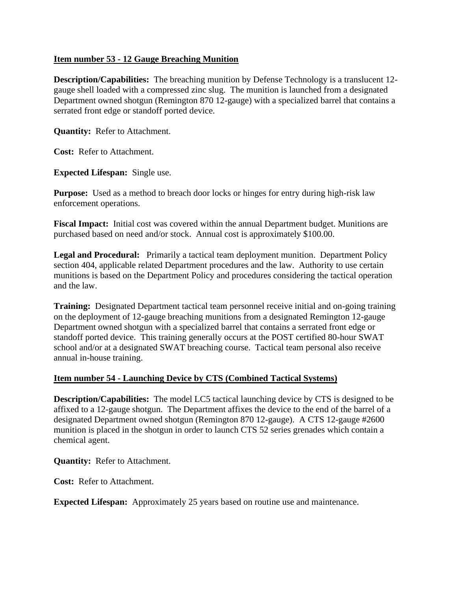## **Item number 53 - 12 Gauge Breaching Munition**

**Description/Capabilities:** The breaching munition by Defense Technology is a translucent 12 gauge shell loaded with a compressed zinc slug. The munition is launched from a designated Department owned shotgun (Remington 870 12-gauge) with a specialized barrel that contains a serrated front edge or standoff ported device.

**Quantity:** Refer to Attachment.

**Cost:** Refer to Attachment.

**Expected Lifespan:** Single use.

**Purpose:** Used as a method to breach door locks or hinges for entry during high-risk law enforcement operations.

**Fiscal Impact:** Initial cost was covered within the annual Department budget. Munitions are purchased based on need and/or stock. Annual cost is approximately \$100.00.

**Legal and Procedural:** Primarily a tactical team deployment munition. Department Policy section 404, applicable related Department procedures and the law. Authority to use certain munitions is based on the Department Policy and procedures considering the tactical operation and the law.

**Training:** Designated Department tactical team personnel receive initial and on-going training on the deployment of 12-gauge breaching munitions from a designated Remington 12-gauge Department owned shotgun with a specialized barrel that contains a serrated front edge or standoff ported device. This training generally occurs at the POST certified 80-hour SWAT school and/or at a designated SWAT breaching course. Tactical team personal also receive annual in-house training.

# **Item number 54 - Launching Device by CTS (Combined Tactical Systems)**

**Description/Capabilities:** The model LC5 tactical launching device by CTS is designed to be affixed to a 12-gauge shotgun. The Department affixes the device to the end of the barrel of a designated Department owned shotgun (Remington 870 12-gauge). A CTS 12-gauge #2600 munition is placed in the shotgun in order to launch CTS 52 series grenades which contain a chemical agent.

**Quantity:** Refer to Attachment.

**Cost:** Refer to Attachment.

**Expected Lifespan:** Approximately 25 years based on routine use and maintenance.